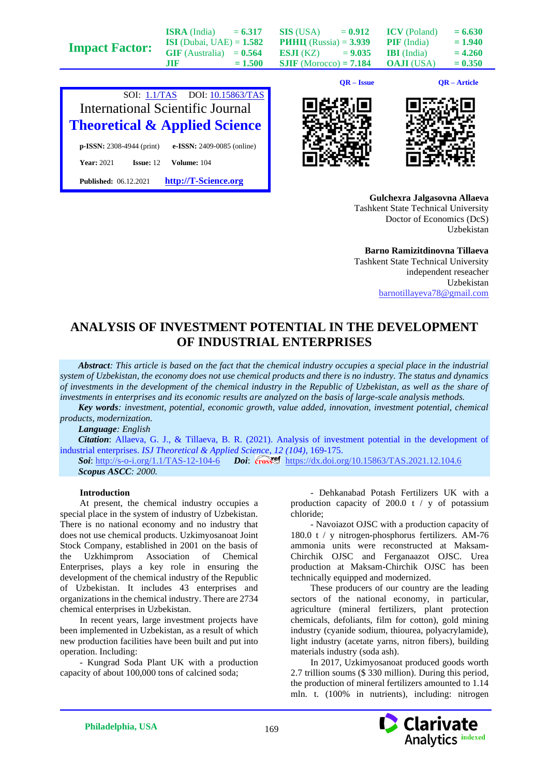|                       | <b>ISRA</b> (India)               | $= 6.317$ | SIS (USA)                       | $= 0.912$ | <b>ICV</b> (Poland) | $= 6.630$ |
|-----------------------|-----------------------------------|-----------|---------------------------------|-----------|---------------------|-----------|
| <b>Impact Factor:</b> | <b>ISI</b> (Dubai, UAE) = $1.582$ |           | <b>PHHII</b> (Russia) = $3.939$ |           | <b>PIF</b> (India)  | $= 1.940$ |
|                       | $GIF$ (Australia) = $0.564$       |           | <b>ESJI</b> (KZ) = $9.035$      |           | <b>IBI</b> (India)  | $= 4.260$ |
|                       | .TIF                              | $= 1.500$ | <b>SJIF</b> (Morocco) = $7.184$ |           | <b>OAJI</b> (USA)   | $= 0.350$ |
|                       |                                   |           |                                 |           |                     |           |



**Published:** 06.12.2021 **[http://T-Science.org](http://t-science.org/)**

**QR – Issue QR – Article**





**Gulchexra Jalgasovna Allaeva** Tashkent State Technical University Doctor of Economics (DcS) Uzbekistan

**Barno Ramizitdinovna Tillaeva** Tashkent State Technical University independent reseacher Uzbekistan [barnotillayeva78@gmail.com](mailto:barnotillayeva78@gmail.com)

## **ANALYSIS OF INVESTMENT POTENTIAL IN THE DEVELOPMENT OF INDUSTRIAL ENTERPRISES**

*Abstract: This article is based on the fact that the chemical industry occupies a special place in the industrial system of Uzbekistan, the economy does not use chemical products and there is no industry. The status and dynamics of investments in the development of the chemical industry in the Republic of Uzbekistan, as well as the share of investments in enterprises and its economic results are analyzed on the basis of large-scale analysis methods.*

*Key words: investment, potential, economic growth, value added, innovation, investment potential, chemical products, modernization.*

*Language: English*

*Citation*: Allaeva, G. J., & Tillaeva, B. R. (2021). Analysis of investment potential in the development of industrial enterprises. *ISJ Theoretical & Applied Science, 12 (104),* 169-175.

**Soi**[: http://s-o-i.org/1.1/TAS-12-104-6](http://s-o-i.org/1.1/TAS-12-104-6) *Doi: crossel <https://dx.doi.org/10.15863/TAS.2021.12.104.6> Scopus ASCC: 2000.*

## **Introduction**

At present, the chemical industry occupies a special place in the system of industry of Uzbekistan. There is no national economy and no industry that does not use chemical products. Uzkimyosanoat Joint Stock Company, established in 2001 on the basis of the Uzkhimprom Association of Chemical Enterprises, plays a key role in ensuring the development of the chemical industry of the Republic of Uzbekistan. It includes 43 enterprises and organizations in the chemical industry. There are 2734 chemical enterprises in Uzbekistan.

In recent years, large investment projects have been implemented in Uzbekistan, as a result of which new production facilities have been built and put into operation. Including:

- Kungrad Soda Plant UK with a production capacity of about 100,000 tons of calcined soda;

- Dehkanabad Potash Fertilizers UK with a production capacity of 200.0 t / y of potassium chloride;

- Navoiazot OJSC with a production capacity of 180.0 t / y nitrogen-phosphorus fertilizers. AM-76 ammonia units were reconstructed at Maksam**-**Chirchik OJSC and Ferganaazot OJSC. Urea production at Maksam-Chirchik OJSC has been technically equipped and modernized.

These producers of our country are the leading sectors of the national economy, in particular, agriculture (mineral fertilizers, plant protection chemicals, defoliants, film for cotton), gold mining industry (cyanide sodium, thiourea, polyacrylamide), light industry (acetate yarns, nitron fibers), building materials industry (soda ash).

In 2017, Uzkimyosanoat produced goods worth 2.7 trillion soums (\$ 330 million). During this period, the production of mineral fertilizers amounted to 1.14 mln. t. (100% in nutrients), including: nitrogen

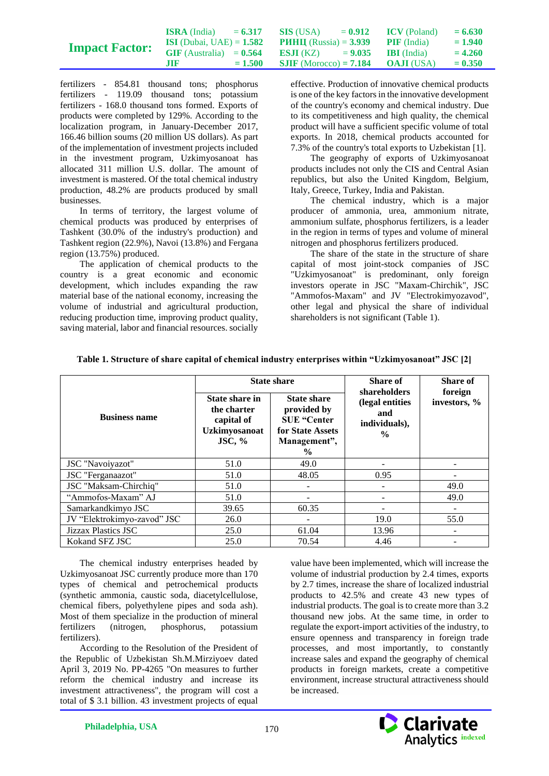|                       | <b>ISRA</b> (India)               | $= 6.317$ | SIS (USA)                                          | $= 0.912$ ICV (Poland) | $= 6.630$ |
|-----------------------|-----------------------------------|-----------|----------------------------------------------------|------------------------|-----------|
|                       | <b>ISI</b> (Dubai, UAE) = $1.582$ |           | <b>PHHII</b> (Russia) = $3.939$ <b>PIF</b> (India) |                        | $= 1.940$ |
| <b>Impact Factor:</b> | $GIF$ (Australia) = $0.564$       |           | <b>ESJI</b> (KZ) $= 9.035$ <b>IBI</b> (India)      |                        | $= 4.260$ |
|                       | .nr                               | $= 1.500$ | <b>SJIF</b> (Morocco) = <b>7.184 OAJI</b> (USA)    |                        | $= 0.350$ |

fertilizers - 854.81 thousand tons; phosphorus fertilizers - 119.09 thousand tons; potassium fertilizers - 168.0 thousand tons formed. Exports of products were completed by 129%. According to the localization program, in January-December 2017, 166.46 billion soums (20 million US dollars). As part of the implementation of investment projects included in the investment program, Uzkimyosanoat has allocated 311 million U.S. dollar. The amount of investment is mastered. Of the total chemical industry production, 48.2% are products produced by small businesses.

In terms of territory, the largest volume of chemical products was produced by enterprises of Tashkent (30.0% of the industry's production) and Tashkent region (22.9%), Navoi (13.8%) and Fergana region (13.75%) produced.

The application of chemical products to the country is a great economic and economic development, which includes expanding the raw material base of the national economy, increasing the volume of industrial and agricultural production, reducing production time, improving product quality, saving material, labor and financial resources. socially

effective. Production of innovative chemical products is one of the key factors in the innovative development of the country's economy and chemical industry. Due to its competitiveness and high quality, the chemical product will have a sufficient specific volume of total exports. In 2018, chemical products accounted for 7.3% of the country's total exports to Uzbekistan [1].

The geography of exports of Uzkimyosanoat products includes not only the CIS and Central Asian republics, but also the United Kingdom, Belgium, Italy, Greece, Turkey, India and Pakistan.

The chemical industry, which is a major producer of ammonia, urea, ammonium nitrate, ammonium sulfate, phosphorus fertilizers, is a leader in the region in terms of types and volume of mineral nitrogen and phosphorus fertilizers produced.

The share of the state in the structure of share capital of most joint-stock companies of JSC "Uzkimyosanoat" is predominant, only foreign investors operate in JSC "Maxam-Chirchik", JSC "Ammofos-Maxam" and JV "Electrokimyozavod", other legal and physical the share of individual shareholders is not significant (Table 1).

|                             |                                                                                      | <b>State share</b>                                                                                           | Share of<br>shareholders                                  | Share of                |
|-----------------------------|--------------------------------------------------------------------------------------|--------------------------------------------------------------------------------------------------------------|-----------------------------------------------------------|-------------------------|
| <b>Business name</b>        | State share in<br>the charter<br>capital of<br><b>Uzkimyosanoat</b><br>$\rm{JSC},$ % | <b>State share</b><br>provided by<br><b>SUE "Center</b><br>for State Assets<br>Management",<br>$\frac{6}{9}$ | (legal entities)<br>and<br>individuals),<br>$\frac{0}{0}$ | foreign<br>investors, % |
| JSC "Navoiyazot"            | 51.0                                                                                 | 49.0                                                                                                         |                                                           |                         |
| JSC "Ferganaazot"           | 51.0                                                                                 | 48.05                                                                                                        | 0.95                                                      |                         |
| JSC "Maksam-Chirchiq"       | 51.0                                                                                 |                                                                                                              |                                                           | 49.0                    |
| "Ammofos-Maxam" AJ          | 51.0                                                                                 |                                                                                                              |                                                           | 49.0                    |
| Samarkandkimyo JSC          | 39.65                                                                                | 60.35                                                                                                        | ۰                                                         |                         |
| JV "Elektrokimyo-zavod" JSC | 26.0                                                                                 |                                                                                                              | 19.0                                                      | 55.0                    |
| Jizzax Plastics JSC         | 25.0                                                                                 | 61.04                                                                                                        | 13.96                                                     |                         |
| Kokand SFZ JSC              | 25.0                                                                                 | 70.54                                                                                                        | 4.46                                                      |                         |

**Table 1. Structure of share capital of chemical industry enterprises within "Uzkimyosanoat" JSC [2]**

The chemical industry enterprises headed by Uzkimyosanoat JSC currently produce more than 170 types of chemical and petrochemical products (synthetic ammonia, caustic soda, diacetylcellulose, chemical fibers, polyethylene pipes and soda ash). Most of them specialize in the production of mineral fertilizers (nitrogen, phosphorus, potassium fertilizers).

According to the Resolution of the President of the Republic of Uzbekistan Sh.M.Mirziyoev dated April 3, 2019 No. PP-4265 "On measures to further reform the chemical industry and increase its investment attractiveness", the program will cost a total of \$ 3.1 billion. 43 investment projects of equal

value have been implemented, which will increase the volume of industrial production by 2.4 times, exports by 2.7 times, increase the share of localized industrial products to 42.5% and create 43 new types of industrial products. The goal is to create more than 3.2 thousand new jobs. At the same time, in order to regulate the export-import activities of the industry, to ensure openness and transparency in foreign trade processes, and most importantly, to constantly increase sales and expand the geography of chemical products in foreign markets, create a competitive environment, increase structural attractiveness should be increased.

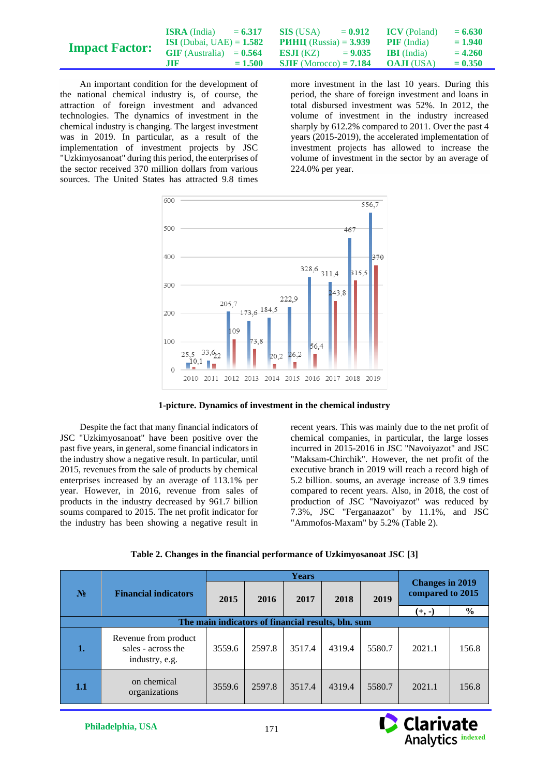|                       | <b>ISRA</b> (India)               | $= 6.317$ | SIS (USA)                                       | $= 0.912$ | <b>ICV</b> (Poland) | $= 6.630$ |
|-----------------------|-----------------------------------|-----------|-------------------------------------------------|-----------|---------------------|-----------|
| <b>Impact Factor:</b> | <b>ISI</b> (Dubai, UAE) = $1.582$ |           | <b>PHHII</b> (Russia) = $3.939$                 |           | <b>PIF</b> (India)  | $= 1.940$ |
|                       | $GIF$ (Australia) = $0.564$       |           | <b>ESJI</b> (KZ) $= 9.035$ <b>IBI</b> (India)   |           |                     | $= 4.260$ |
|                       | .TIF                              | $= 1.500$ | <b>SJIF</b> (Morocco) = <b>7.184 OAJI</b> (USA) |           |                     | $= 0.350$ |

An important condition for the development of the national chemical industry is, of course, the attraction of foreign investment and advanced technologies. The dynamics of investment in the chemical industry is changing. The largest investment was in 2019. In particular, as a result of the implementation of investment projects by JSC "Uzkimyosanoat" during this period, the enterprises of the sector received 370 million dollars from various sources. The United States has attracted 9.8 times more investment in the last 10 years. During this period, the share of foreign investment and loans in total disbursed investment was 52%. In 2012, the volume of investment in the industry increased sharply by 612.2% compared to 2011. Over the past 4 years (2015-2019), the accelerated implementation of investment projects has allowed to increase the volume of investment in the sector by an average of 224.0% per year.



**1-picture. Dynamics of investment in the chemical industry**

Despite the fact that many financial indicators of JSC "Uzkimyosanoat" have been positive over the past five years, in general, some financial indicators in the industry show a negative result. In particular, until 2015, revenues from the sale of products by chemical enterprises increased by an average of 113.1% per year. However, in 2016, revenue from sales of products in the industry decreased by 961.7 billion soums compared to 2015. The net profit indicator for the industry has been showing a negative result in

recent years. This was mainly due to the net profit of chemical companies, in particular, the large losses incurred in 2015-2016 in JSC "Navoiyazot" and JSC "Maksam-Chirchik". However, the net profit of the executive branch in 2019 will reach a record high of 5.2 billion. soums, an average increase of 3.9 times compared to recent years. Also, in 2018, the cost of production of JSC "Navoiyazot" was reduced by 7.3%, JSC "Ferganaazot" by 11.1%, and JSC "Ammofos-Maxam" by 5.2% (Table 2).

|  |  |  | Table 2. Changes in the financial performance of Uzkimyosanoat JSC [3] |  |
|--|--|--|------------------------------------------------------------------------|--|
|--|--|--|------------------------------------------------------------------------|--|

|                |                                                              | <b>Years</b>                                       |        |        |        |        |                                            |               |
|----------------|--------------------------------------------------------------|----------------------------------------------------|--------|--------|--------|--------|--------------------------------------------|---------------|
| N <sub>2</sub> | <b>Financial indicators</b>                                  | 2015                                               | 2016   | 2017   | 2018   | 2019   | <b>Changes in 2019</b><br>compared to 2015 |               |
|                |                                                              |                                                    |        |        |        |        | $(+, -)$                                   | $\frac{0}{0}$ |
|                |                                                              | The main indicators of financial results, bln. sum |        |        |        |        |                                            |               |
| 1.             | Revenue from product<br>sales - across the<br>industry, e.g. | 3559.6                                             | 2597.8 | 3517.4 | 4319.4 | 5580.7 | 2021.1                                     | 156.8         |
| 1.1            | on chemical<br>organizations                                 | 3559.6                                             | 2597.8 | 3517.4 | 4319.4 | 5580.7 | 2021.1                                     | 156.8         |

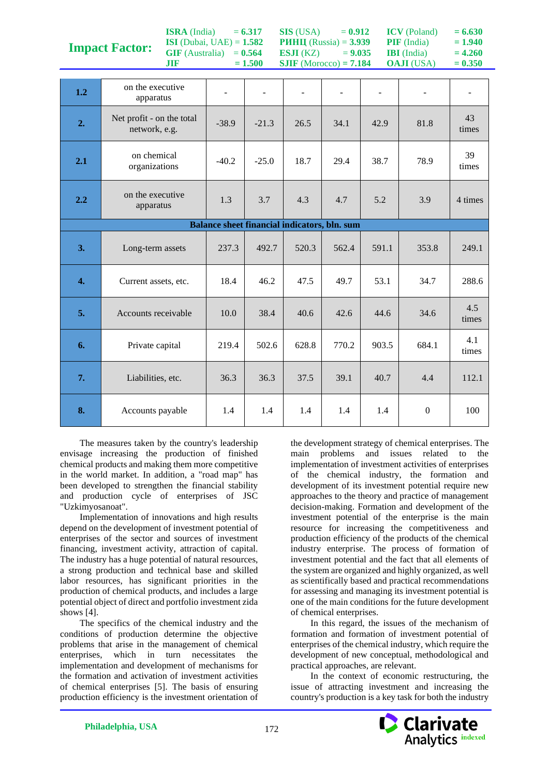|                  | <b>Impact Factor:</b><br>$GIF$ (Australia) = $0.564$<br><b>JIF</b> | <b>ISI</b> ( <i>Dubal</i> , $UAE$ <i>)</i> = <b>1.502</b> | $= 1.500$ | ESJI(KZ)<br>$SIIF$ (Morocco) = $7.184$       | $P$ <i>инц</i> (Russia) = 3.939<br>$= 9.035$ |       | $\mathbf{FIF}$ (India)<br><b>IBI</b> (India)<br><b>OAJI</b> (USA) | $= 1.940$<br>$= 4.260$<br>$= 0.350$ |
|------------------|--------------------------------------------------------------------|-----------------------------------------------------------|-----------|----------------------------------------------|----------------------------------------------|-------|-------------------------------------------------------------------|-------------------------------------|
| 1.2              | on the executive                                                   |                                                           |           |                                              |                                              |       |                                                                   |                                     |
|                  | apparatus                                                          |                                                           |           |                                              |                                              |       |                                                                   |                                     |
| 2.               | Net profit - on the total<br>network, e.g.                         | $-38.9$                                                   | $-21.3$   | 26.5                                         | 34.1                                         | 42.9  | 81.8                                                              | 43<br>times                         |
| 2.1              | on chemical<br>organizations                                       | $-40.2$                                                   | $-25.0$   | 18.7                                         | 29.4                                         | 38.7  | 78.9                                                              | 39<br>times                         |
| 2.2              | on the executive<br>apparatus                                      | 1.3                                                       | 3.7       | 4.3                                          | 4.7                                          | 5.2   | 3.9                                                               | 4 times                             |
|                  |                                                                    |                                                           |           | Balance sheet financial indicators, bln. sum |                                              |       |                                                                   |                                     |
| 3.               | Long-term assets                                                   | 237.3                                                     | 492.7     | 520.3                                        | 562.4                                        | 591.1 | 353.8                                                             | 249.1                               |
|                  |                                                                    |                                                           |           |                                              |                                              |       |                                                                   |                                     |
| $\overline{4}$ . | Current assets, etc.                                               | 18.4                                                      | 46.2      | 47.5                                         | 49.7                                         | 53.1  | 34.7                                                              | 288.6                               |
| 5.               | Accounts receivable                                                | 10.0                                                      | 38.4      | 40.6                                         | 42.6                                         | 44.6  | 34.6                                                              | 4.5<br>times                        |
| 6.               | Private capital                                                    | 219.4                                                     | 502.6     | 628.8                                        | 770.2                                        | 903.5 | 684.1                                                             | 4.1<br>times                        |
| 7.               | Liabilities, etc.                                                  | 36.3                                                      | 36.3      | 37.5                                         | 39.1                                         | 40.7  | 4.4                                                               | 112.1                               |

**SIS** (USA)  $= 0.912$ **РИНЦ** (Russia) = **3.939**  $ICV (Poland) = 6.630$ **PIF** (India)  $= 1.940$ 

**ISRA** (India)  $= 6.317$ **ISI** (Dubai, UAE) = **1.582**

The measures taken by the country's leadership envisage increasing the production of finished chemical products and making them more competitive in the world market. In addition, a "road map" has been developed to strengthen the financial stability and production cycle of enterprises of JSC "Uzkimyosanoat".

Implementation of innovations and high results depend on the development of investment potential of enterprises of the sector and sources of investment financing, investment activity, attraction of capital. The industry has a huge potential of natural resources, a strong production and technical base and skilled labor resources, has significant priorities in the production of chemical products, and includes a large potential object of direct and portfolio investment zida shows [4].

The specifics of the chemical industry and the conditions of production determine the objective problems that arise in the management of chemical enterprises, which in turn necessitates the implementation and development of mechanisms for the formation and activation of investment activities of chemical enterprises [5]. The basis of ensuring production efficiency is the investment orientation of

the development strategy of chemical enterprises. The main problems and issues related to the implementation of investment activities of enterprises of the chemical industry, the formation and development of its investment potential require new approaches to the theory and practice of management decision-making. Formation and development of the investment potential of the enterprise is the main resource for increasing the competitiveness and production efficiency of the products of the chemical industry enterprise. The process of formation of investment potential and the fact that all elements of the system are organized and highly organized, as well as scientifically based and practical recommendations for assessing and managing its investment potential is one of the main conditions for the future development of chemical enterprises.

In this regard, the issues of the mechanism of formation and formation of investment potential of enterprises of the chemical industry, which require the development of new conceptual, methodological and practical approaches, are relevant.

In the context of economic restructuring, the issue of attracting investment and increasing the country's production is a key task for both the industry

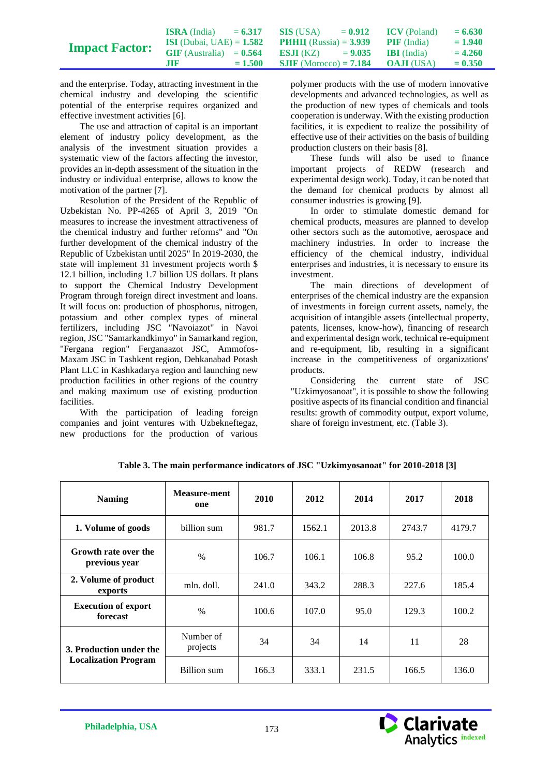|                       | <b>ISRA</b> (India)               | $= 6.317$ | SIS (USA)                       | $= 0.912$ | <b>ICV</b> (Poland) | $= 6.630$ |
|-----------------------|-----------------------------------|-----------|---------------------------------|-----------|---------------------|-----------|
|                       | <b>ISI</b> (Dubai, UAE) = $1.582$ |           | <b>PHHII</b> (Russia) = $3.939$ |           | <b>PIF</b> (India)  | $= 1.940$ |
| <b>Impact Factor:</b> | $GIF$ (Australia) = $0.564$       |           | <b>ES.II</b> (KZ) $= 9.035$     |           | <b>BI</b> (India)   | $= 4.260$ |
|                       | <b>ATR</b>                        | $= 1.500$ | <b>SJIF</b> (Morocco) = $7.184$ |           | <b>OAJI</b> (USA)   | $= 0.350$ |

and the enterprise. Today, attracting investment in the chemical industry and developing the scientific potential of the enterprise requires organized and effective investment activities [6].

The use and attraction of capital is an important element of industry policy development, as the analysis of the investment situation provides a systematic view of the factors affecting the investor, provides an in-depth assessment of the situation in the industry or individual enterprise, allows to know the motivation of the partner [7].

Resolution of the President of the Republic of Uzbekistan No. PP-4265 of April 3, 2019 "On measures to increase the investment attractiveness of the chemical industry and further reforms" and "On further development of the chemical industry of the Republic of Uzbekistan until 2025" In 2019-2030, the state will implement 31 investment projects worth \$ 12.1 billion, including 1.7 billion US dollars. It plans to support the Chemical Industry Development Program through foreign direct investment and loans. It will focus on: production of phosphorus, nitrogen, potassium and other complex types of mineral fertilizers, including JSC "Navoiazot" in Navoi region, JSC "Samarkandkimyo" in Samarkand region, "Fergana region" Ferganaazot JSC, Ammofos-Maxam JSC in Tashkent region, Dehkanabad Potash Plant LLC in Kashkadarya region and launching new production facilities in other regions of the country and making maximum use of existing production facilities.

With the participation of leading foreign companies and joint ventures with Uzbekneftegaz, new productions for the production of various polymer products with the use of modern innovative developments and advanced technologies, as well as the production of new types of chemicals and tools cooperation is underway. With the existing production facilities, it is expedient to realize the possibility of effective use of their activities on the basis of building production clusters on their basis [8].

These funds will also be used to finance important projects of REDW (research and experimental design work). Today, it can be noted that the demand for chemical products by almost all consumer industries is growing [9].

In order to stimulate domestic demand for chemical products, measures are planned to develop other sectors such as the automotive, aerospace and machinery industries. In order to increase the efficiency of the chemical industry, individual enterprises and industries, it is necessary to ensure its investment.

The main directions of development of enterprises of the chemical industry are the expansion of investments in foreign current assets, namely, the acquisition of intangible assets (intellectual property, patents, licenses, know-how), financing of research and experimental design work, technical re-equipment and re-equipment, lib, resulting in a significant increase in the competitiveness of organizations' products.

Considering the current state of JSC "Uzkimyosanoat", it is possible to show the following positive aspects of its financial condition and financial results: growth of commodity output, export volume, share of foreign investment, etc. (Table 3).

| <b>Naming</b>                          | <b>Measure-ment</b><br>one | 2010  | 2012   | 2014   | 2017   | 2018   |
|----------------------------------------|----------------------------|-------|--------|--------|--------|--------|
| 1. Volume of goods                     | billion sum                | 981.7 | 1562.1 | 2013.8 | 2743.7 | 4179.7 |
| Growth rate over the<br>previous year  | $\%$                       | 106.7 | 106.1  | 106.8  | 95.2   | 100.0  |
| 2. Volume of product<br>exports        | mln. doll.                 | 241.0 | 343.2  | 288.3  | 227.6  | 185.4  |
| <b>Execution of export</b><br>forecast | $\%$                       | 100.6 | 107.0  | 95.0   | 129.3  | 100.2  |
| 3. Production under the                | Number of<br>projects      | 34    | 34     | 14     | 11     | 28     |
| <b>Localization Program</b>            | Billion sum                | 166.3 | 333.1  | 231.5  | 166.5  | 136.0  |

**Table 3. The main performance indicators of JSC "Uzkimyosanoat" for 2010-2018 [3]**

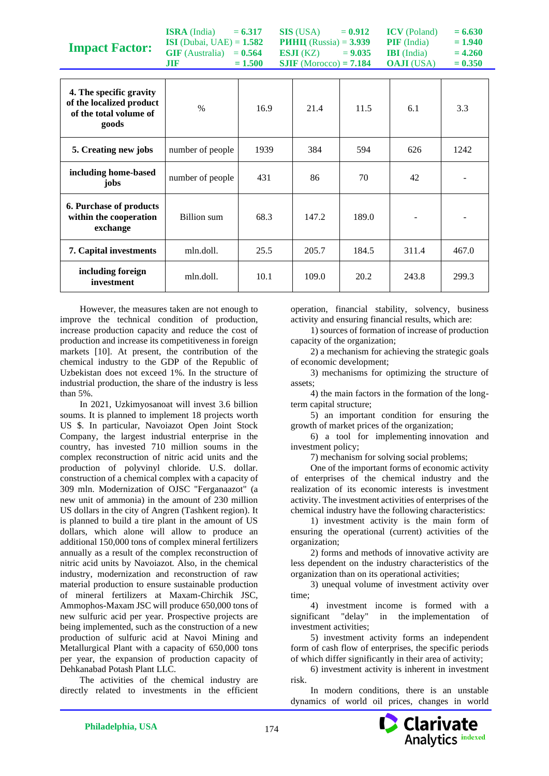| <b>Impact Factor:</b>                                                                  | <b>ISRA</b> (India)<br><b>ISI</b> (Dubai, UAE) = $1.582$<br>$GIF$ (Australia) = $0.564$<br><b>JIF</b> | $= 6.317$<br>$= 1.500$ | <b>SIS</b> (USA)<br><b>PHHII</b> (Russia) = $3.939$<br>ESJI (KZ)<br>$SIIF$ (Morocco) = $7.184$ | $= 0.912$<br>$= 9.035$ | <b>ICV</b> (Poland)<br>$PIF$ (India)<br><b>IBI</b> (India)<br><b>OAJI</b> (USA) | $= 6.630$<br>$= 1.940$<br>$= 4.260$<br>$= 0.350$ |
|----------------------------------------------------------------------------------------|-------------------------------------------------------------------------------------------------------|------------------------|------------------------------------------------------------------------------------------------|------------------------|---------------------------------------------------------------------------------|--------------------------------------------------|
| 4. The specific gravity<br>of the localized product<br>of the total volume of<br>goods | $\frac{0}{0}$                                                                                         | 16.9                   | 21.4                                                                                           | 11.5                   | 6.1                                                                             | 3.3                                              |
| 5. Creating new jobs                                                                   | number of people                                                                                      | 1939                   | 384                                                                                            | 594                    | 626                                                                             | 1242                                             |
| including home-based<br>jobs                                                           | number of people                                                                                      | 431                    | 86                                                                                             | 70                     | 42                                                                              |                                                  |
| 6. Purchase of products<br>within the cooperation<br>exchange                          | Billion sum                                                                                           | 68.3                   | 147.2                                                                                          | 189.0                  |                                                                                 |                                                  |
| 7. Capital investments                                                                 | mln.doll.                                                                                             | 25.5                   | 205.7                                                                                          | 184.5                  | 311.4                                                                           | 467.0                                            |
| including foreign<br>investment                                                        | mln.doll.                                                                                             | 10.1                   | 109.0                                                                                          | 20.2                   | 243.8                                                                           | 299.3                                            |

However, the measures taken are not enough to improve the technical condition of production, increase production capacity and reduce the cost of production and increase its competitiveness in foreign markets [10]. At present, the contribution of the chemical industry to the GDP of the Republic of Uzbekistan does not exceed 1%. In the structure of industrial production, the share of the industry is less than 5%.

In 2021, Uzkimyosanoat will invest 3.6 billion soums. It is planned to implement 18 projects worth US \$. In particular, Navoiazot Open Joint Stock Company, the largest industrial enterprise in the country, has invested 710 million soums in the complex reconstruction of nitric acid units and the production of polyvinyl chloride. U.S. dollar. construction of a chemical complex with a capacity of 309 mln. Modernization of OJSC "Ferganaazot" (a new unit of ammonia) in the amount of 230 million US dollars in the city of Angren (Tashkent region). It is planned to build a tire plant in the amount of US dollars, which alone will allow to produce an additional 150,000 tons of complex mineral fertilizers annually as a result of the complex reconstruction of nitric acid units by Navoiazot. Also, in the chemical industry, modernization and reconstruction of raw material production to ensure sustainable production of mineral fertilizers at Maxam-Chirchik JSC, Ammophos-Maxam JSC will produce 650,000 tons of new sulfuric acid per year. Prospective projects are being implemented, such as the construction of a new production of sulfuric acid at Navoi Mining and Metallurgical Plant with a capacity of 650,000 tons per year, the expansion of production capacity of Dehkanabad Potash Plant LLC.

The activities of the chemical industry are directly related to investments in the efficient operation, financial stability, solvency, business activity and ensuring financial results, which are:

1) sources of formation of increase of production capacity of the organization;

2) a mechanism for achieving the strategic goals of economic development;

3) mechanisms for optimizing the structure of assets;

4) the main factors in the formation of the longterm capital structure;

5) an important condition for ensuring the growth of market prices of the organization;

6) a tool for implementing innovation and investment policy;

7) mechanism for solving social problems;

One of the important forms of economic activity of enterprises of the chemical industry and the realization of its economic interests is investment activity. The investment activities of enterprises of the chemical industry have the following characteristics:

1) investment activity is the main form of ensuring the operational (current) activities of the organization;

2) forms and methods of innovative activity are less dependent on the industry characteristics of the organization than on its operational activities;

3) unequal volume of investment activity over time;

4) investment income is formed with a significant "delay" in the implementation of investment activities;

5) investment activity forms an independent form of cash flow of enterprises, the specific periods of which differ significantly in their area of activity;

6) investment activity is inherent in investment risk.

In modern conditions, there is an unstable dynamics of world oil prices, changes in world